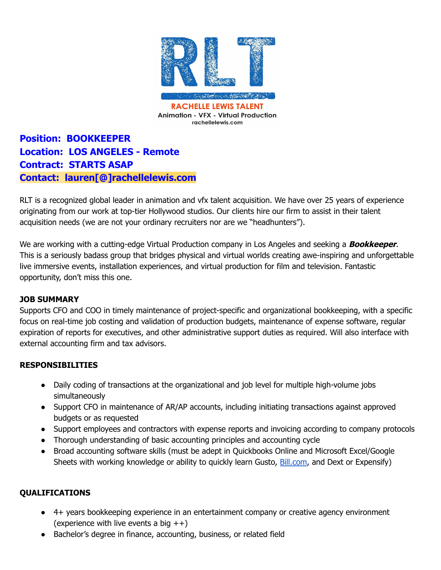

**Position: BOOKKEEPER Location: LOS ANGELES - Remote Contract: STARTS ASAP Contact: lauren[@]rachellelewis.com**

RLT is a recognized global leader in animation and vfx talent acquisition. We have over 25 years of experience originating from our work at top-tier Hollywood studios. Our clients hire our firm to assist in their talent acquisition needs (we are not your ordinary recruiters nor are we "headhunters").

We are working with a cutting-edge Virtual Production company in Los Angeles and seeking a **Bookkeeper**. This is a seriously badass group that bridges physical and virtual worlds creating awe-inspiring and unforgettable live immersive events, installation experiences, and virtual production for film and television. Fantastic opportunity, don't miss this one.

## **JOB SUMMARY**

Supports CFO and COO in timely maintenance of project-specific and organizational bookkeeping, with a specific focus on real-time job costing and validation of production budgets, maintenance of expense software, regular expiration of reports for executives, and other administrative support duties as required. Will also interface with external accounting firm and tax advisors.

## **RESPONSIBILITIES**

- Daily coding of transactions at the organizational and job level for multiple high-volume jobs simultaneously
- Support CFO in maintenance of AR/AP accounts, including initiating transactions against approved budgets or as requested
- Support employees and contractors with expense reports and invoicing according to company protocols
- Thorough understanding of basic accounting principles and accounting cycle
- Broad accounting software skills (must be adept in Quickbooks Online and Microsoft Excel/Google Sheets with working knowledge or ability to quickly learn Gusto, **[Bill.com](http://bill.com/)**, and Dext or Expensify)

## **QUALIFICATIONS**

- 4+ years bookkeeping experience in an entertainment company or creative agency environment (experience with live events a big  $++$ )
- Bachelor's degree in finance, accounting, business, or related field